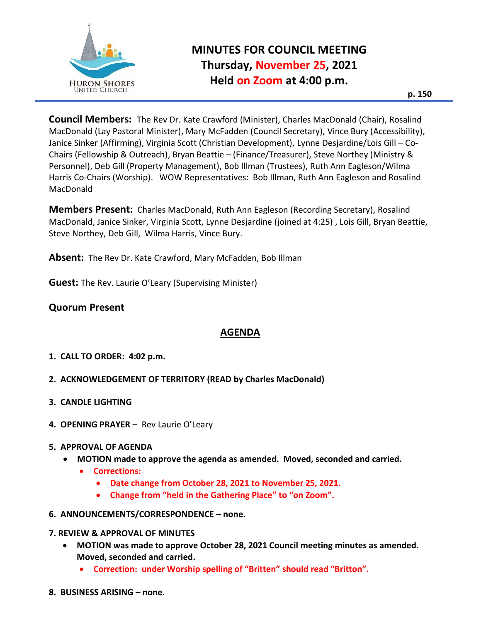

# **MINUTES FOR COUNCIL MEETING Thursday, November 25, 2021 Held on Zoom at 4:00 p.m.**

**p. 150**

**Council Members:** The Rev Dr. Kate Crawford (Minister), Charles MacDonald (Chair), Rosalind MacDonald (Lay Pastoral Minister), Mary McFadden (Council Secretary), Vince Bury (Accessibility), Janice Sinker (Affirming), Virginia Scott (Christian Development), Lynne Desjardine/Lois Gill – Co-Chairs (Fellowship & Outreach), Bryan Beattie – (Finance/Treasurer), Steve Northey (Ministry & Personnel), Deb Gill (Property Management), Bob Illman (Trustees), Ruth Ann Eagleson/Wilma Harris Co-Chairs (Worship). WOW Representatives: Bob Illman, Ruth Ann Eagleson and Rosalind MacDonald

**Members Present:** Charles MacDonald, Ruth Ann Eagleson (Recording Secretary), Rosalind MacDonald, Janice Sinker, Virginia Scott, Lynne Desjardine (joined at 4:25) , Lois Gill, Bryan Beattie, Steve Northey, Deb Gill, Wilma Harris, Vince Bury.

**Absent:** The Rev Dr. Kate Crawford, Mary McFadden, Bob Illman

**Guest:** The Rev. Laurie O'Leary (Supervising Minister)

## **Quorum Present**

# **AGENDA**

- **1. CALL TO ORDER: 4:02 p.m.**
- **2. ACKNOWLEDGEMENT OF TERRITORY (READ by Charles MacDonald)**
- **3. CANDLE LIGHTING**
- **4. OPENING PRAYER –** Rev Laurie O'Leary

#### **5. APPROVAL OF AGENDA**

- **MOTION made to approve the agenda as amended. Moved, seconded and carried.**
	- **Corrections:** 
		- **Date change from October 28, 2021 to November 25, 2021.**
		- **Change from "held in the Gathering Place" to "on Zoom".**

#### **6. ANNOUNCEMENTS/CORRESPONDENCE – none.**

#### **7. REVIEW & APPROVAL OF MINUTES**

- **MOTION was made to approve October 28, 2021 Council meeting minutes as amended. Moved, seconded and carried.**
	- **Correction: under Worship spelling of "Britten" should read "Britton".**
- **8. BUSINESS ARISING – none.**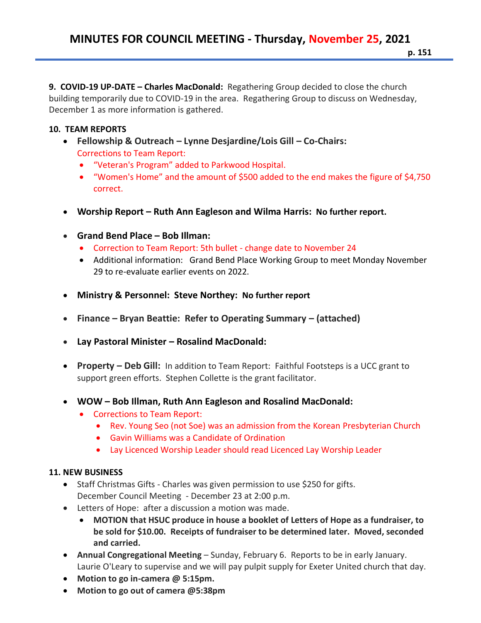**9. COVID-19 UP-DATE – Charles MacDonald:** Regathering Group decided to close the church building temporarily due to COVID-19 in the area. Regathering Group to discuss on Wednesday, December 1 as more information is gathered.

## **10. TEAM REPORTS**

- **Fellowship & Outreach – Lynne Desjardine/Lois Gill – Co-Chairs:**
	- Corrections to Team Report:
	- "Veteran's Program" added to Parkwood Hospital.
	- "Women's Home" and the amount of \$500 added to the end makes the figure of \$4,750 correct.
- **Worship Report – Ruth Ann Eagleson and Wilma Harris: No further report.**
- **Grand Bend Place – Bob Illman:**
	- Correction to Team Report: 5th bullet change date to November 24
	- Additional information: Grand Bend Place Working Group to meet Monday November 29 to re-evaluate earlier events on 2022.
- **Ministry & Personnel: Steve Northey: No further report**
- **Finance – Bryan Beattie: Refer to Operating Summary – (attached)**
- **Lay Pastoral Minister – Rosalind MacDonald:**
- **Property – Deb Gill:** In addition to Team Report: Faithful Footsteps is a UCC grant to support green efforts. Stephen Collette is the grant facilitator.
- **WOW – Bob Illman, Ruth Ann Eagleson and Rosalind MacDonald:** 
	- Corrections to Team Report:
		- Rev. Young Seo (not Soe) was an admission from the Korean Presbyterian Church
		- Gavin Williams was a Candidate of Ordination
		- Lay Licenced Worship Leader should read Licenced Lay Worship Leader

### **11. NEW BUSINESS**

- Staff Christmas Gifts Charles was given permission to use \$250 for gifts. December Council Meeting - December 23 at 2:00 p.m.
- Letters of Hope: after a discussion a motion was made.
	- **MOTION that HSUC produce in house a booklet of Letters of Hope as a fundraiser, to be sold for \$10.00. Receipts of fundraiser to be determined later. Moved, seconded and carried.**
- **Annual Congregational Meeting** Sunday, February 6. Reports to be in early January. Laurie O'Leary to supervise and we will pay pulpit supply for Exeter United church that day.
- **Motion to go in-camera @ 5:15pm.**
- **Motion to go out of camera @5:38pm**